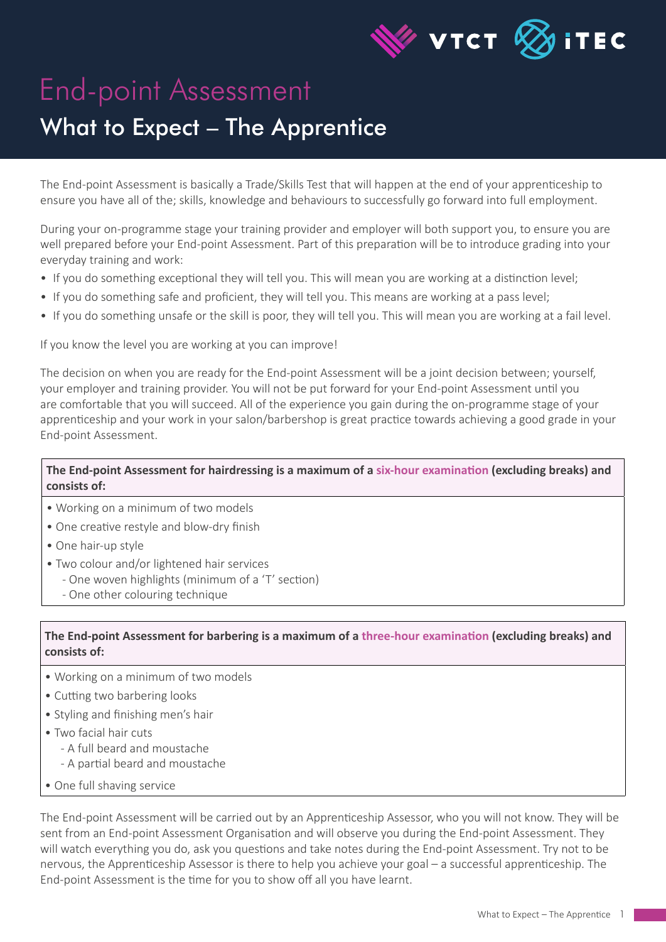

# End-point Assessment

## What to Expect – The Apprentice

The End-point Assessment is basically a Trade/Skills Test that will happen at the end of your apprenticeship to ensure you have all of the; skills, knowledge and behaviours to successfully go forward into full employment.

During your on-programme stage your training provider and employer will both support you, to ensure you are well prepared before your End-point Assessment. Part of this preparation will be to introduce grading into your everyday training and work:

- If you do something exceptional they will tell you. This will mean you are working at a distinction level;
- If you do something safe and proficient, they will tell you. This means are working at a pass level;
- If you do something unsafe or the skill is poor, they will tell you. This will mean you are working at a fail level.

If you know the level you are working at you can improve!

The decision on when you are ready for the End-point Assessment will be a joint decision between; yourself, your employer and training provider. You will not be put forward for your End-point Assessment until you are comfortable that you will succeed. All of the experience you gain during the on-programme stage of your apprenticeship and your work in your salon/barbershop is great practice towards achieving a good grade in your End-point Assessment.

### **The End-point Assessment for hairdressing is a maximum of a six-hour examination (excluding breaks) and consists of:**

- Working on a minimum of two models
- One creative restyle and blow-dry finish
- One hair-up style
- Two colour and/or lightened hair services
	- One woven highlights (minimum of a 'T' section)
	- One other colouring technique

### **The End-point Assessment for barbering is a maximum of a three-hour examination (excluding breaks) and consists of:**

- Working on a minimum of two models
- Cutting two barbering looks
- Styling and finishing men's hair
- Two facial hair cuts
	- A full beard and moustache
	- A partial beard and moustache
- One full shaving service

The End-point Assessment will be carried out by an Apprenticeship Assessor, who you will not know. They will be sent from an End-point Assessment Organisation and will observe you during the End-point Assessment. They will watch everything you do, ask you questions and take notes during the End-point Assessment. Try not to be nervous, the Apprenticeship Assessor is there to help you achieve your goal – a successful apprenticeship. The End-point Assessment is the time for you to show off all you have learnt.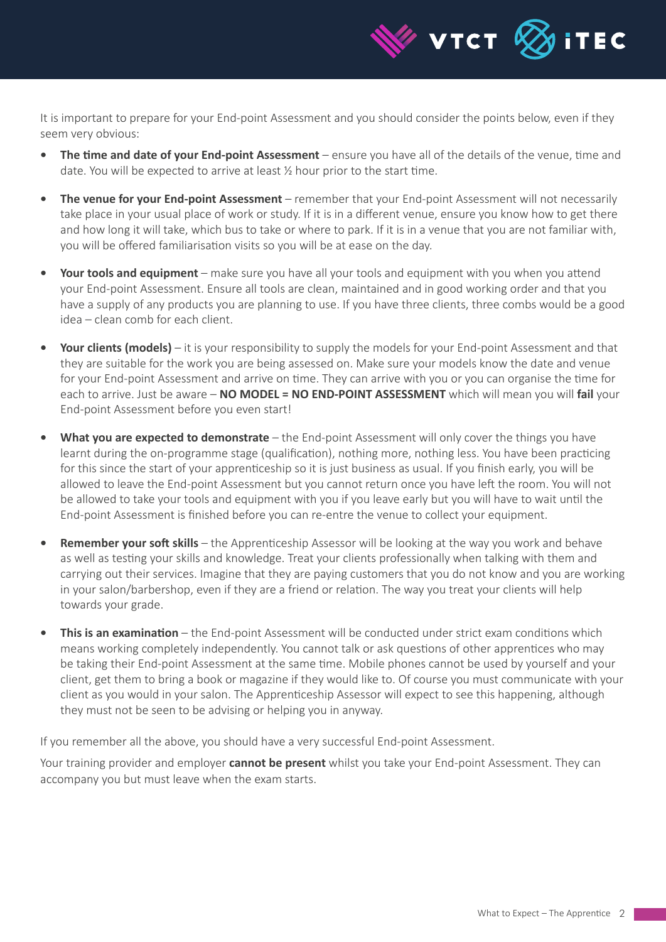

It is important to prepare for your End-point Assessment and you should consider the points below, even if they seem very obvious:

- **The time and date of your End-point Assessment** ensure you have all of the details of the venue, time and date. You will be expected to arrive at least ½ hour prior to the start time.
- **• The venue for your End-point Assessment** remember that your End-point Assessment will not necessarily take place in your usual place of work or study. If it is in a different venue, ensure you know how to get there and how long it will take, which bus to take or where to park. If it is in a venue that you are not familiar with, you will be offered familiarisation visits so you will be at ease on the day.
- **• Your tools and equipment** make sure you have all your tools and equipment with you when you attend your End-point Assessment. Ensure all tools are clean, maintained and in good working order and that you have a supply of any products you are planning to use. If you have three clients, three combs would be a good idea – clean comb for each client.
- **• Your clients (models)** it is your responsibility to supply the models for your End-point Assessment and that they are suitable for the work you are being assessed on. Make sure your models know the date and venue for your End-point Assessment and arrive on time. They can arrive with you or you can organise the time for each to arrive. Just be aware – **NO MODEL = NO END-POINT ASSESSMENT** which will mean you will **fail** your End-point Assessment before you even start!
- **• What you are expected to demonstrate** the End-point Assessment will only cover the things you have learnt during the on-programme stage (qualification), nothing more, nothing less. You have been practicing for this since the start of your apprenticeship so it is just business as usual. If you finish early, you will be allowed to leave the End-point Assessment but you cannot return once you have left the room. You will not be allowed to take your tools and equipment with you if you leave early but you will have to wait until the End-point Assessment is finished before you can re-entre the venue to collect your equipment.
- **• Remember your soft skills** the Apprenticeship Assessor will be looking at the way you work and behave as well as testing your skills and knowledge. Treat your clients professionally when talking with them and carrying out their services. Imagine that they are paying customers that you do not know and you are working in your salon/barbershop, even if they are a friend or relation. The way you treat your clients will help towards your grade.
- **• This is an examination** the End-point Assessment will be conducted under strict exam conditions which means working completely independently. You cannot talk or ask questions of other apprentices who may be taking their End-point Assessment at the same time. Mobile phones cannot be used by yourself and your client, get them to bring a book or magazine if they would like to. Of course you must communicate with your client as you would in your salon. The Apprenticeship Assessor will expect to see this happening, although they must not be seen to be advising or helping you in anyway.

If you remember all the above, you should have a very successful End-point Assessment.

Your training provider and employer **cannot be present** whilst you take your End-point Assessment. They can accompany you but must leave when the exam starts.